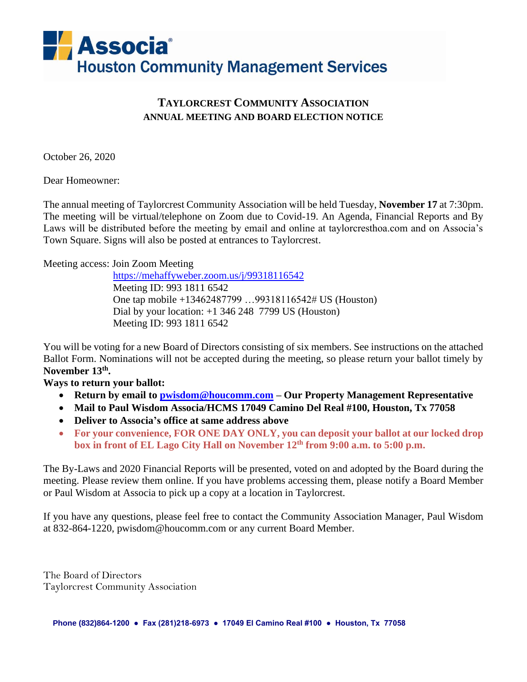

# **TAYLORCREST COMMUNITY ASSOCIATION ANNUAL MEETING AND BOARD ELECTION NOTICE**

October 26, 2020

Dear Homeowner:

The annual meeting of Taylorcrest Community Association will be held Tuesday, **November 17** at 7:30pm. The meeting will be virtual/telephone on Zoom due to Covid-19. An Agenda, Financial Reports and By Laws will be distributed before the meeting by email and online at taylorcresthoa.com and on Associa's Town Square. Signs will also be posted at entrances to Taylorcrest.

Meeting access: Join Zoom Meeting

 <https://mehaffyweber.zoom.us/j/99318116542> Meeting ID: 993 1811 6542 One tap mobile +13462487799 …99318116542# US (Houston) Dial by your location: +1 346 248 7799 US (Houston) Meeting ID: 993 1811 6542

You will be voting for a new Board of Directors consisting of six members. See instructions on the attached Ballot Form. Nominations will not be accepted during the meeting, so please return your ballot timely by **November 13 th .** 

**Ways to return your ballot:**

- **Return by email to [pwisdom@houcomm.com](mailto:pwisdom@houcomm.com) – Our Property Management Representative**
- **Mail to Paul Wisdom Associa/HCMS 17049 Camino Del Real #100, Houston, Tx 77058**
- **Deliver to Associa's office at same address above**
- **For your convenience, FOR ONE DAY ONLY, you can deposit your ballot at our locked drop box in front of EL Lago City Hall on November 12 th from 9:00 a.m. to 5:00 p.m.**

The By-Laws and 2020 Financial Reports will be presented, voted on and adopted by the Board during the meeting. Please review them online. If you have problems accessing them, please notify a Board Member or Paul Wisdom at Associa to pick up a copy at a location in Taylorcrest.

If you have any questions, please feel free to contact the Community Association Manager, Paul Wisdom at 832-864-1220, pwisdom@houcomm.com or any current Board Member.

The Board of Directors Taylorcrest Community Association